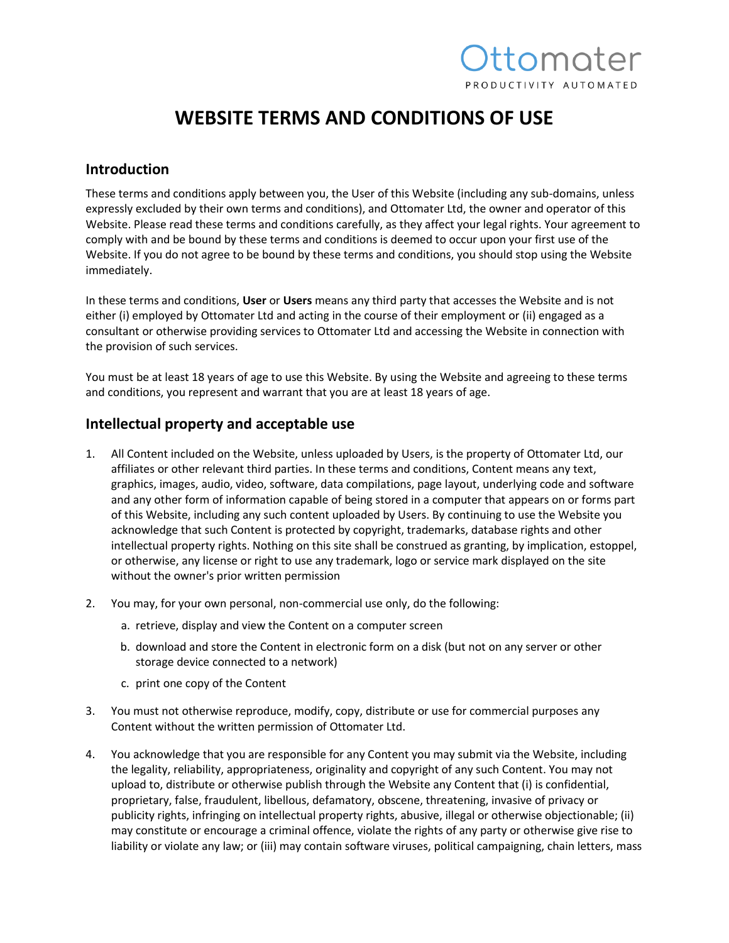## *Ittomater* PRODUCTIVITY AUTOMATED

### **WEBSITE TERMS AND CONDITIONS OF USE**

#### **Introduction**

These terms and conditions apply between you, the User of this Website (including any sub-domains, unless expressly excluded by their own terms and conditions), and Ottomater Ltd, the owner and operator of this Website. Please read these terms and conditions carefully, as they affect your legal rights. Your agreement to comply with and be bound by these terms and conditions is deemed to occur upon your first use of the Website. If you do not agree to be bound by these terms and conditions, you should stop using the Website immediately.

In these terms and conditions, **User** or **Users** means any third party that accesses the Website and is not either (i) employed by Ottomater Ltd and acting in the course of their employment or (ii) engaged as a consultant or otherwise providing services to Ottomater Ltd and accessing the Website in connection with the provision of such services.

You must be at least 18 years of age to use this Website. By using the Website and agreeing to these terms and conditions, you represent and warrant that you are at least 18 years of age.

#### **Intellectual property and acceptable use**

- 1. All Content included on the Website, unless uploaded by Users, is the property of Ottomater Ltd, our affiliates or other relevant third parties. In these terms and conditions, Content means any text, graphics, images, audio, video, software, data compilations, page layout, underlying code and software and any other form of information capable of being stored in a computer that appears on or forms part of this Website, including any such content uploaded by Users. By continuing to use the Website you acknowledge that such Content is protected by copyright, trademarks, database rights and other intellectual property rights. Nothing on this site shall be construed as granting, by implication, estoppel, or otherwise, any license or right to use any trademark, logo or service mark displayed on the site without the owner's prior written permission
- 2. You may, for your own personal, non-commercial use only, do the following:
	- a. retrieve, display and view the Content on a computer screen
	- b. download and store the Content in electronic form on a disk (but not on any server or other storage device connected to a network)
	- c. print one copy of the Content
- 3. You must not otherwise reproduce, modify, copy, distribute or use for commercial purposes any Content without the written permission of Ottomater Ltd.
- 4. You acknowledge that you are responsible for any Content you may submit via the Website, including the legality, reliability, appropriateness, originality and copyright of any such Content. You may not upload to, distribute or otherwise publish through the Website any Content that (i) is confidential, proprietary, false, fraudulent, libellous, defamatory, obscene, threatening, invasive of privacy or publicity rights, infringing on intellectual property rights, abusive, illegal or otherwise objectionable; (ii) may constitute or encourage a criminal offence, violate the rights of any party or otherwise give rise to liability or violate any law; or (iii) may contain software viruses, political campaigning, chain letters, mass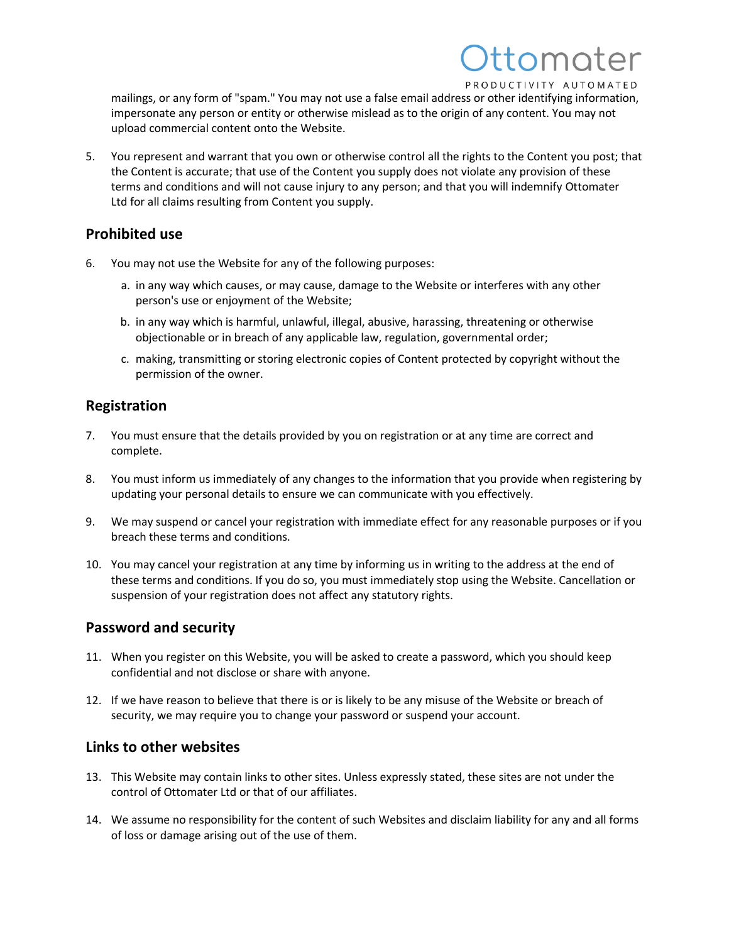### tomoter PRODUCTIVITY AUTOMATED

mailings, or any form of "spam." You may not use a false email address or other identifying information, impersonate any person or entity or otherwise mislead as to the origin of any content. You may not upload commercial content onto the Website.

5. You represent and warrant that you own or otherwise control all the rights to the Content you post; that the Content is accurate; that use of the Content you supply does not violate any provision of these terms and conditions and will not cause injury to any person; and that you will indemnify Ottomater Ltd for all claims resulting from Content you supply.

#### **Prohibited use**

- 6. You may not use the Website for any of the following purposes:
	- a. in any way which causes, or may cause, damage to the Website or interferes with any other person's use or enjoyment of the Website;
	- b. in any way which is harmful, unlawful, illegal, abusive, harassing, threatening or otherwise objectionable or in breach of any applicable law, regulation, governmental order;
	- c. making, transmitting or storing electronic copies of Content protected by copyright without the permission of the owner.

#### **Registration**

- 7. You must ensure that the details provided by you on registration or at any time are correct and complete.
- 8. You must inform us immediately of any changes to the information that you provide when registering by updating your personal details to ensure we can communicate with you effectively.
- 9. We may suspend or cancel your registration with immediate effect for any reasonable purposes or if you breach these terms and conditions.
- 10. You may cancel your registration at any time by informing us in writing to the address at the end of these terms and conditions. If you do so, you must immediately stop using the Website. Cancellation or suspension of your registration does not affect any statutory rights.

#### **Password and security**

- 11. When you register on this Website, you will be asked to create a password, which you should keep confidential and not disclose or share with anyone.
- 12. If we have reason to believe that there is or is likely to be any misuse of the Website or breach of security, we may require you to change your password or suspend your account.

#### **Links to other websites**

- 13. This Website may contain links to other sites. Unless expressly stated, these sites are not under the control of Ottomater Ltd or that of our affiliates.
- 14. We assume no responsibility for the content of such Websites and disclaim liability for any and all forms of loss or damage arising out of the use of them.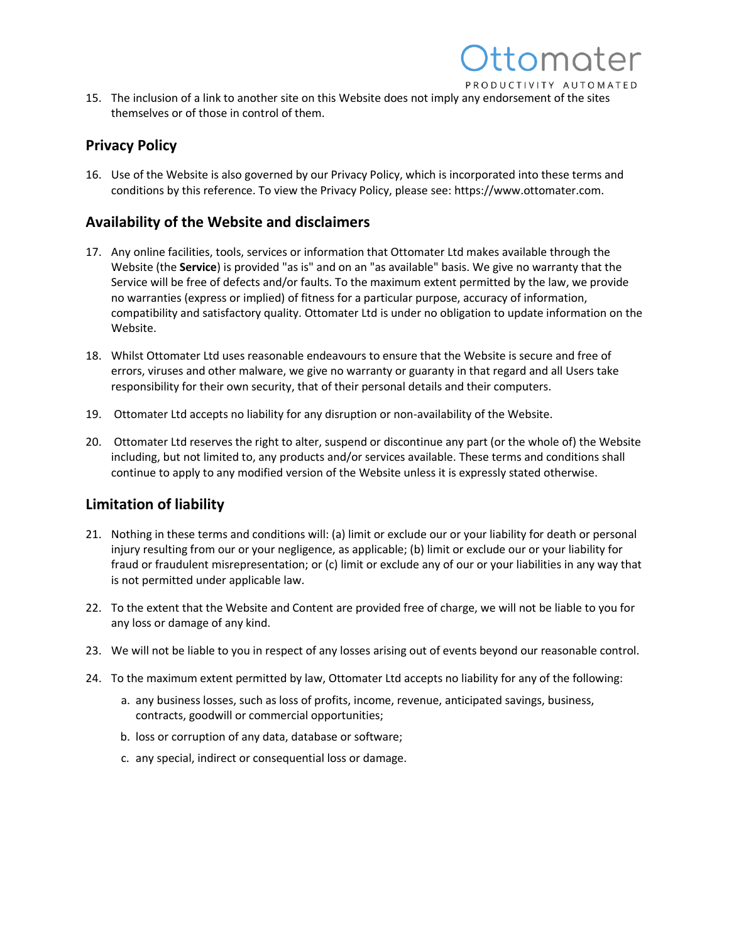

tomater

#### **Privacy Policy**

16. Use of the Website is also governed by our Privacy Policy, which is incorporated into these terms and conditions by this reference. To view the Privacy Policy, please see: https://www.ottomater.com.

#### **Availability of the Website and disclaimers**

- 17. Any online facilities, tools, services or information that Ottomater Ltd makes available through the Website (the **Service**) is provided "as is" and on an "as available" basis. We give no warranty that the Service will be free of defects and/or faults. To the maximum extent permitted by the law, we provide no warranties (express or implied) of fitness for a particular purpose, accuracy of information, compatibility and satisfactory quality. Ottomater Ltd is under no obligation to update information on the Website.
- 18. Whilst Ottomater Ltd uses reasonable endeavours to ensure that the Website is secure and free of errors, viruses and other malware, we give no warranty or guaranty in that regard and all Users take responsibility for their own security, that of their personal details and their computers.
- 19. Ottomater Ltd accepts no liability for any disruption or non-availability of the Website.
- 20. Ottomater Ltd reserves the right to alter, suspend or discontinue any part (or the whole of) the Website including, but not limited to, any products and/or services available. These terms and conditions shall continue to apply to any modified version of the Website unless it is expressly stated otherwise.

#### **Limitation of liability**

- 21. Nothing in these terms and conditions will: (a) limit or exclude our or your liability for death or personal injury resulting from our or your negligence, as applicable; (b) limit or exclude our or your liability for fraud or fraudulent misrepresentation; or (c) limit or exclude any of our or your liabilities in any way that is not permitted under applicable law.
- 22. To the extent that the Website and Content are provided free of charge, we will not be liable to you for any loss or damage of any kind.
- 23. We will not be liable to you in respect of any losses arising out of events beyond our reasonable control.
- 24. To the maximum extent permitted by law, Ottomater Ltd accepts no liability for any of the following:
	- a. any business losses, such as loss of profits, income, revenue, anticipated savings, business, contracts, goodwill or commercial opportunities;
	- b. loss or corruption of any data, database or software;
	- c. any special, indirect or consequential loss or damage.